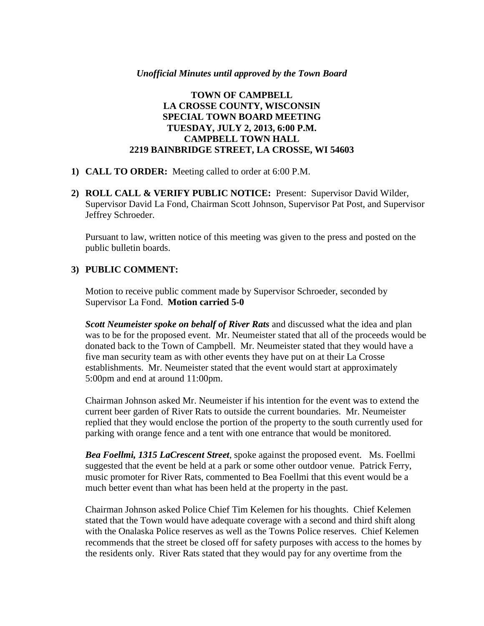#### *Unofficial Minutes until approved by the Town Board*

### **TOWN OF CAMPBELL LA CROSSE COUNTY, WISCONSIN SPECIAL TOWN BOARD MEETING TUESDAY, JULY 2, 2013, 6:00 P.M. CAMPBELL TOWN HALL 2219 BAINBRIDGE STREET, LA CROSSE, WI 54603**

- **1) CALL TO ORDER:** Meeting called to order at 6:00 P.M.
- **2) ROLL CALL & VERIFY PUBLIC NOTICE:** Present: Supervisor David Wilder, Supervisor David La Fond, Chairman Scott Johnson, Supervisor Pat Post, and Supervisor Jeffrey Schroeder.

Pursuant to law, written notice of this meeting was given to the press and posted on the public bulletin boards.

### **3) PUBLIC COMMENT:**

Motion to receive public comment made by Supervisor Schroeder, seconded by Supervisor La Fond. **Motion carried 5-0**

*Scott Neumeister spoke on behalf of River Rats* and discussed what the idea and plan was to be for the proposed event. Mr. Neumeister stated that all of the proceeds would be donated back to the Town of Campbell. Mr. Neumeister stated that they would have a five man security team as with other events they have put on at their La Crosse establishments. Mr. Neumeister stated that the event would start at approximately 5:00pm and end at around 11:00pm.

Chairman Johnson asked Mr. Neumeister if his intention for the event was to extend the current beer garden of River Rats to outside the current boundaries. Mr. Neumeister replied that they would enclose the portion of the property to the south currently used for parking with orange fence and a tent with one entrance that would be monitored.

*Bea Foellmi, 1315 LaCrescent Street*, spoke against the proposed event. Ms. Foellmi suggested that the event be held at a park or some other outdoor venue. Patrick Ferry, music promoter for River Rats, commented to Bea Foellmi that this event would be a much better event than what has been held at the property in the past.

Chairman Johnson asked Police Chief Tim Kelemen for his thoughts. Chief Kelemen stated that the Town would have adequate coverage with a second and third shift along with the Onalaska Police reserves as well as the Towns Police reserves. Chief Kelemen recommends that the street be closed off for safety purposes with access to the homes by the residents only. River Rats stated that they would pay for any overtime from the